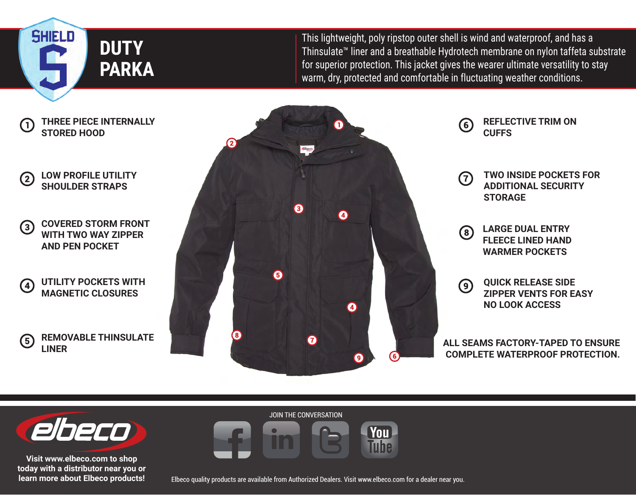**SHIELD DUTY PARKA**

 $\mathsf{I}$ 

 $(2)$ 

 $(3)$ 

 $\left( 4\right)$ 

 $\left(5\right)$ 

This lightweight, poly ripstop outer shell is wind and waterproof, and has a Thinsulate™ liner and a breathable Hydrotech membrane on nylon taffeta substrate for superior protection. This jacket gives the wearer ultimate versatility to stay warm, dry, protected and comfortable in fluctuating weather conditions.





**Visit www.elbeco.com to shop today with a distributor near you or learn more about Elbeco products!** JOIN THE CONVERSATION **You** Tuhe

Elbeco quality products are available from Authorized Dealers. Visit www.elbeco.com for a dealer near you.